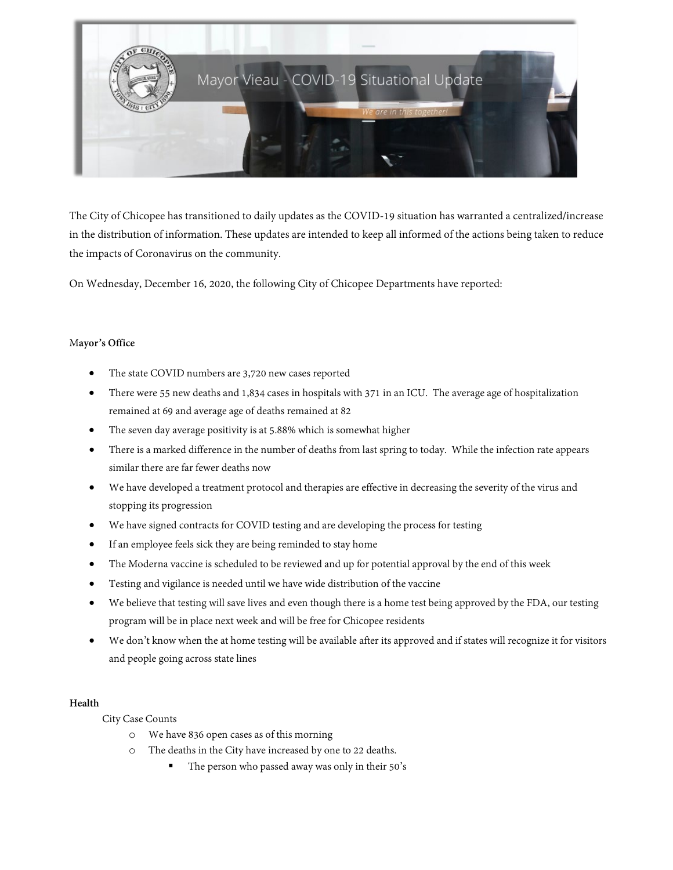

The City of Chicopee has transitioned to daily updates as the COVID-19 situation has warranted a centralized/increase in the distribution of information. These updates are intended to keep all informed of the actions being taken to reduce the impacts of Coronavirus on the community.

On Wednesday, December 16, 2020, the following City of Chicopee Departments have reported:

### M**ayor's Office**

- The state COVID numbers are 3,720 new cases reported
- There were 55 new deaths and 1,834 cases in hospitals with 371 in an ICU. The average age of hospitalization remained at 69 and average age of deaths remained at 82
- The seven day average positivity is at 5.88% which is somewhat higher
- There is a marked difference in the number of deaths from last spring to today. While the infection rate appears similar there are far fewer deaths now
- We have developed a treatment protocol and therapies are effective in decreasing the severity of the virus and stopping its progression
- We have signed contracts for COVID testing and are developing the process for testing
- If an employee feels sick they are being reminded to stay home
- The Moderna vaccine is scheduled to be reviewed and up for potential approval by the end of this week
- Testing and vigilance is needed until we have wide distribution of the vaccine
- We believe that testing will save lives and even though there is a home test being approved by the FDA, our testing program will be in place next week and will be free for Chicopee residents
- We don't know when the at home testing will be available after its approved and if states will recognize it for visitors and people going across state lines

#### **Health**

City Case Counts

- o We have 836 open cases as of this morning
- The deaths in the City have increased by one to 22 deaths.
	- The person who passed away was only in their 50's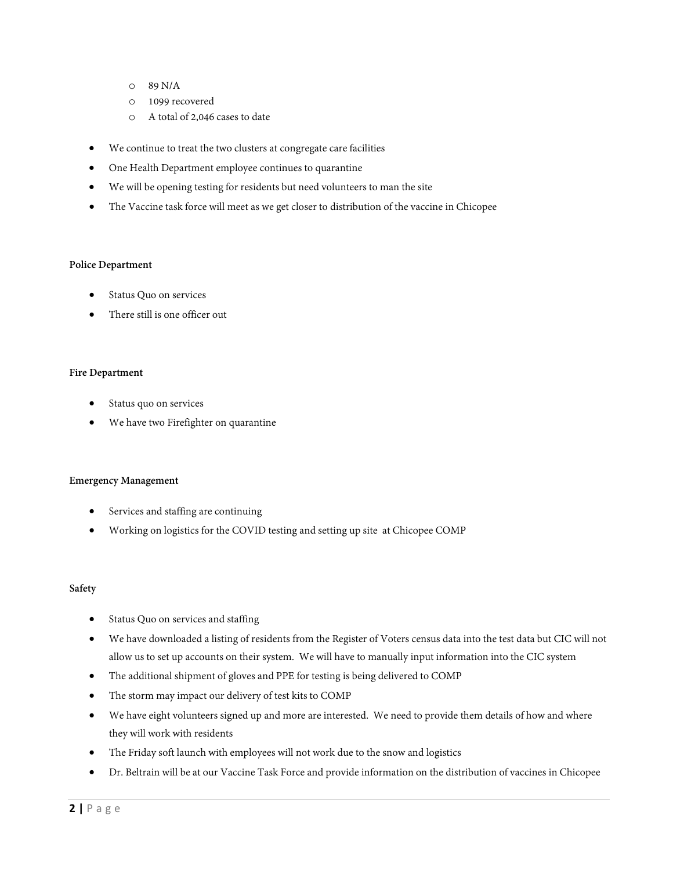- o 89 N/A
- o 1099 recovered
- o A total of 2,046 cases to date
- We continue to treat the two clusters at congregate care facilities
- One Health Department employee continues to quarantine
- We will be opening testing for residents but need volunteers to man the site
- The Vaccine task force will meet as we get closer to distribution of the vaccine in Chicopee

#### **Police Department**

- Status Quo on services
- There still is one officer out

### **Fire Department**

- Status quo on services
- We have two Firefighter on quarantine

#### **Emergency Management**

- Services and staffing are continuing
- Working on logistics for the COVID testing and setting up site at Chicopee COMP

#### **Safety**

- Status Quo on services and staffing
- We have downloaded a listing of residents from the Register of Voters census data into the test data but CIC will not allow us to set up accounts on their system. We will have to manually input information into the CIC system
- The additional shipment of gloves and PPE for testing is being delivered to COMP
- The storm may impact our delivery of test kits to COMP
- We have eight volunteers signed up and more are interested. We need to provide them details of how and where they will work with residents
- The Friday soft launch with employees will not work due to the snow and logistics
- Dr. Beltrain will be at our Vaccine Task Force and provide information on the distribution of vaccines in Chicopee